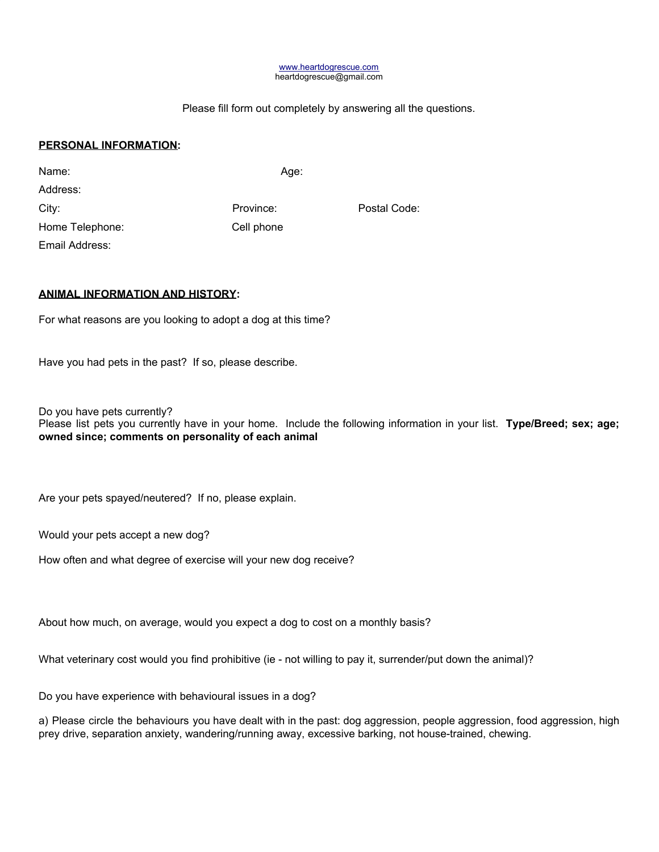#### [www.heartdogrescue.com](http://www.heartdogrescue.com/) heartdogrescue@gmail.com

### Please fill form out completely by answering all the questions.

# **PERSONAL INFORMATION:**

| Name:           | Age:       |
|-----------------|------------|
| Address:        |            |
| City:           | Province:  |
| Home Telephone: | Cell phone |
| Email Address:  |            |

Province: Postal Code: Cell phone

# **ANIMAL INFORMATION AND HISTORY:**

For what reasons are you looking to adopt a dog at this time?

Have you had pets in the past? If so, please describe.

Do you have pets currently?

Please list pets you currently have in your home. Include the following information in your list. **Type/Breed; sex; age; owned since; comments on personality of each animal**

Are your pets spayed/neutered? If no, please explain.

Would your pets accept a new dog?

How often and what degree of exercise will your new dog receive?

About how much, on average, would you expect a dog to cost on a monthly basis?

What veterinary cost would you find prohibitive (ie - not willing to pay it, surrender/put down the animal)?

Do you have experience with behavioural issues in a dog?

a) Please circle the behaviours you have dealt with in the past: dog aggression, people aggression, food aggression, high prey drive, separation anxiety, wandering/running away, excessive barking, not house-trained, chewing.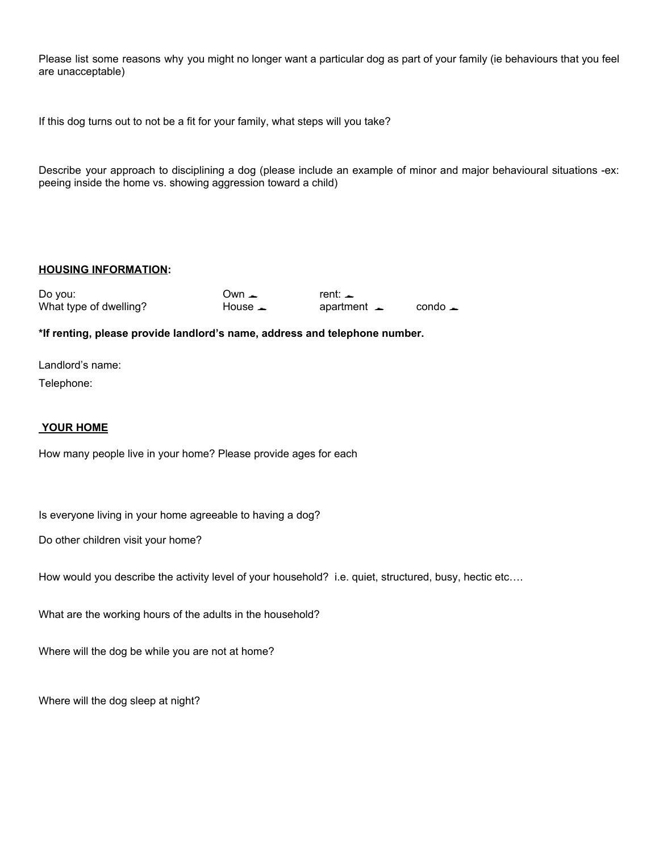Please list some reasons why you might no longer want a particular dog as part of your family (ie behaviours that you feel are unacceptable)

If this dog turns out to not be a fit for your family, what steps will you take?

Describe your approach to disciplining a dog (please include an example of minor and major behavioural situations -ex: peeing inside the home vs. showing aggression toward a child)

### **HOUSING INFORMATION:**

| Do you:                | $U$ wn $\perp$      | rent: $\perp$              |                           |
|------------------------|---------------------|----------------------------|---------------------------|
| What type of dwelling? | House $\rightarrow$ | apartment $\blacktriangle$ | $\text{cond}_\rightarrow$ |

#### **\*If renting, please provide landlord's name, address and telephone number.**

Landlord's name:

Telephone:

#### **YOUR HOME**

How many people live in your home? Please provide ages for each

Is everyone living in your home agreeable to having a dog?

Do other children visit your home?

How would you describe the activity level of your household? i.e. quiet, structured, busy, hectic etc....

What are the working hours of the adults in the household?

Where will the dog be while you are not at home?

Where will the dog sleep at night?